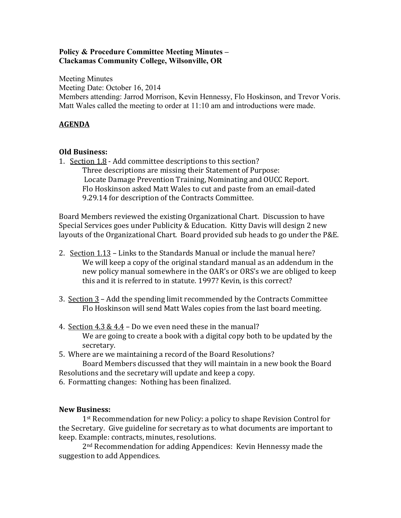## **Policy & Procedure Committee Meeting Minutes – Clackamas Community College, Wilsonville, OR**

Meeting Minutes Meeting Date: October 16, 2014 Members attending: Jarrod Morrison, Kevin Hennessy, Flo Hoskinson, and Trevor Voris. Matt Wales called the meeting to order at 11:10 am and introductions were made.

## **AGENDA**

## **Old Business:**

1. Section 1.8 - Add committee descriptions to this section? Three descriptions are missing their Statement of Purpose: Locate Damage Prevention Training, Nominating and OUCC Report. Flo Hoskinson asked Matt Wales to cut and paste from an email-dated 9.29.14 for description of the Contracts Committee.

Board Members reviewed the existing Organizational Chart. Discussion to have Special Services goes under Publicity & Education. Kitty Davis will design 2 new layouts of the Organizational Chart. Board provided sub heads to go under the P&E.

- 2. Section 1.13 Links to the Standards Manual or include the manual here? We will keep a copy of the original standard manual as an addendum in the new policy manual somewhere in the OAR's or ORS's we are obliged to keep this and it is referred to in statute. 1997? Kevin, is this correct?
- 3. Section 3 Add the spending limit recommended by the Contracts Committee Flo Hoskinson will send Matt Wales copies from the last board meeting.
- 4. Section  $4.3 \& 4.4$  Do we even need these in the manual? We are going to create a book with a digital copy both to be updated by the secretary.
- 5. Where are we maintaining a record of the Board Resolutions?

Board Members discussed that they will maintain in a new book the Board Resolutions and the secretary will update and keep a copy.

6. Formatting changes: Nothing has been finalized.

## **New Business:**

1st Recommendation for new Policy: a policy to shape Revision Control for the Secretary. Give guideline for secretary as to what documents are important to keep. Example: contracts, minutes, resolutions.

2nd Recommendation for adding Appendices: Kevin Hennessy made the suggestion to add Appendices.